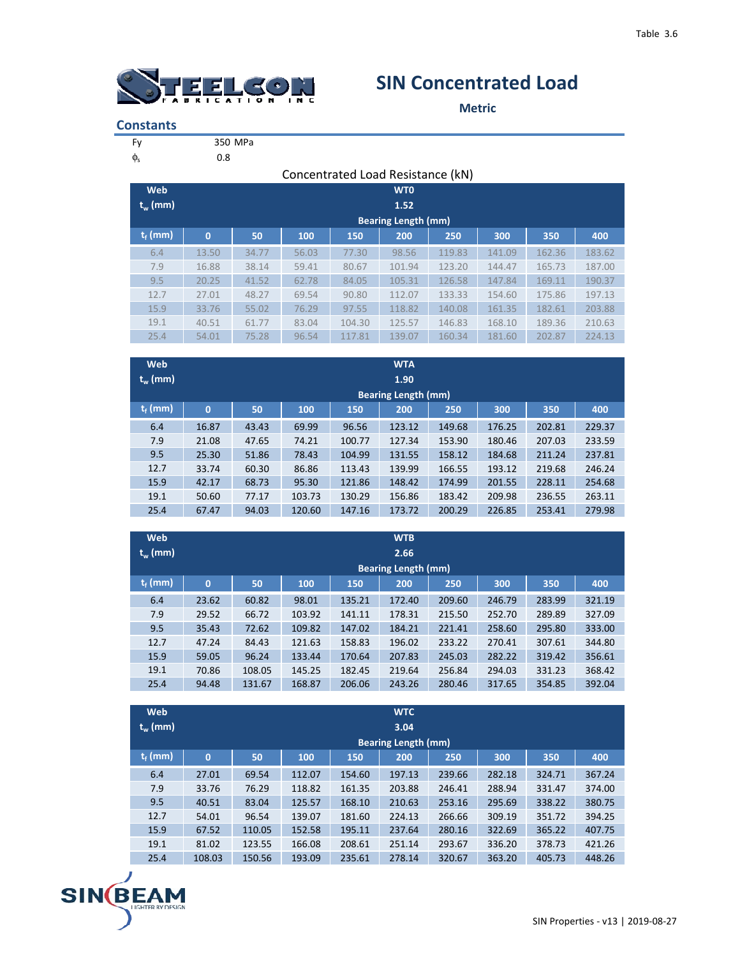

## **SIN Concentrated Load**

**Metric**

| <b>Constants</b> |
|------------------|
|------------------|

|  | 350 MPa |
|--|---------|

 $\phi_s$  0.8

|                                 | Concentrated Load Resistance (kN) |       |       |        |                            |        |        |        |        |  |  |  |  |  |
|---------------------------------|-----------------------------------|-------|-------|--------|----------------------------|--------|--------|--------|--------|--|--|--|--|--|
| Web                             | <b>WTO</b>                        |       |       |        |                            |        |        |        |        |  |  |  |  |  |
| $t_w$ (mm)                      | 1.52                              |       |       |        |                            |        |        |        |        |  |  |  |  |  |
|                                 |                                   |       |       |        | <b>Bearing Length (mm)</b> |        |        |        |        |  |  |  |  |  |
| $\mathbf{t}_{\mathsf{f}}$ (mm)' | $\overline{0}$                    | 50    | 100   | 150    | 200                        | 250    | 300    | 350    | 400    |  |  |  |  |  |
| 6.4                             | 13.50                             | 34.77 | 56.03 | 77.30  | 98.56                      | 119.83 | 141.09 | 162.36 | 183.62 |  |  |  |  |  |
| 7.9                             | 16.88                             | 38.14 | 59.41 | 80.67  | 101.94                     | 123.20 | 144.47 | 165.73 | 187.00 |  |  |  |  |  |
| 9.5                             | 20.25                             | 41.52 | 62.78 | 84.05  | 105.31                     | 126.58 | 147.84 | 169.11 | 190.37 |  |  |  |  |  |
| 12.7                            | 27.01                             | 48.27 | 69.54 | 90.80  | 112.07                     | 133.33 | 154.60 | 175.86 | 197.13 |  |  |  |  |  |
| 15.9                            | 33.76                             | 55.02 | 76.29 | 97.55  | 118.82                     | 140.08 | 161.35 | 182.61 | 203.88 |  |  |  |  |  |
| 19.1                            | 40.51                             | 61.77 | 83.04 | 104.30 | 125.57                     | 146.83 | 168.10 | 189.36 | 210.63 |  |  |  |  |  |
| 25.4                            | 54.01                             | 75.28 | 96.54 | 117.81 | 139.07                     | 160.34 | 181.60 | 202.87 | 224.13 |  |  |  |  |  |

| Web        | <b>WTA</b>                 |       |        |        |        |        |        |        |        |  |  |  |
|------------|----------------------------|-------|--------|--------|--------|--------|--------|--------|--------|--|--|--|
| $t_w$ (mm) | 1.90                       |       |        |        |        |        |        |        |        |  |  |  |
|            | <b>Bearing Length (mm)</b> |       |        |        |        |        |        |        |        |  |  |  |
| $t_f$ (mm) | $\mathbf{0}$               | 50    | 100    | 150    | 200    | 250    | 300    | 350    | 400    |  |  |  |
| 6.4        | 16.87                      | 43.43 | 69.99  | 96.56  | 123.12 | 149.68 | 176.25 | 202.81 | 229.37 |  |  |  |
| 7.9        | 21.08                      | 47.65 | 74.21  | 100.77 | 127.34 | 153.90 | 180.46 | 207.03 | 233.59 |  |  |  |
| 9.5        | 25.30                      | 51.86 | 78.43  | 104.99 | 131.55 | 158.12 | 184.68 | 211.24 | 237.81 |  |  |  |
| 12.7       | 33.74                      | 60.30 | 86.86  | 113.43 | 139.99 | 166.55 | 193.12 | 219.68 | 246.24 |  |  |  |
| 15.9       | 42.17                      | 68.73 | 95.30  | 121.86 | 148.42 | 174.99 | 201.55 | 228.11 | 254.68 |  |  |  |
| 19.1       | 50.60                      | 77.17 | 103.73 | 130.29 | 156.86 | 183.42 | 209.98 | 236.55 | 263.11 |  |  |  |
| 25.4       | 67.47                      | 94.03 | 120.60 | 147.16 | 173.72 | 200.29 | 226.85 | 253.41 | 279.98 |  |  |  |

| Web        | <b>WTB</b>   |        |        |        |                            |        |        |        |        |  |  |  |
|------------|--------------|--------|--------|--------|----------------------------|--------|--------|--------|--------|--|--|--|
| $t_w$ (mm) | 2.66         |        |        |        |                            |        |        |        |        |  |  |  |
|            |              |        |        |        | <b>Bearing Length (mm)</b> |        |        |        |        |  |  |  |
| $t_f$ (mm) | $\mathbf{0}$ | 50     | 100    | 150    | 200                        | 250    | 300    | 350    | 400    |  |  |  |
| 6.4        | 23.62        | 60.82  | 98.01  | 135.21 | 172.40                     | 209.60 | 246.79 | 283.99 | 321.19 |  |  |  |
| 7.9        | 29.52        | 66.72  | 103.92 | 141.11 | 178.31                     | 215.50 | 252.70 | 289.89 | 327.09 |  |  |  |
| 9.5        | 35.43        | 72.62  | 109.82 | 147.02 | 184.21                     | 221.41 | 258.60 | 295.80 | 333.00 |  |  |  |
| 12.7       | 47.24        | 84.43  | 121.63 | 158.83 | 196.02                     | 233.22 | 270.41 | 307.61 | 344.80 |  |  |  |
| 15.9       | 59.05        | 96.24  | 133.44 | 170.64 | 207.83                     | 245.03 | 282.22 | 319.42 | 356.61 |  |  |  |
| 19.1       | 70.86        | 108.05 | 145.25 | 182.45 | 219.64                     | 256.84 | 294.03 | 331.23 | 368.42 |  |  |  |
| 25.4       | 94.48        | 131.67 | 168.87 | 206.06 | 243.26                     | 280.46 | 317.65 | 354.85 | 392.04 |  |  |  |

| <b>Web</b><br>$t_w$ (mm)                       | <b>WTC</b><br>3.04         |        |        |        |        |        |        |        |        |  |  |  |  |
|------------------------------------------------|----------------------------|--------|--------|--------|--------|--------|--------|--------|--------|--|--|--|--|
|                                                | <b>Bearing Length (mm)</b> |        |        |        |        |        |        |        |        |  |  |  |  |
| $\mathsf{t}_{\mathsf{f}}$ (mm) $^{\mathsf{i}}$ | $\mathbf{0}$               | 50     | 100    | 150    | 200    | 250    | 300    | 350    | 400    |  |  |  |  |
| 6.4                                            | 27.01                      | 69.54  | 112.07 | 154.60 | 197.13 | 239.66 | 282.18 | 324.71 | 367.24 |  |  |  |  |
| 7.9                                            | 33.76                      | 76.29  | 118.82 | 161.35 | 203.88 | 246.41 | 288.94 | 331.47 | 374.00 |  |  |  |  |
| 9.5                                            | 40.51                      | 83.04  | 125.57 | 168.10 | 210.63 | 253.16 | 295.69 | 338.22 | 380.75 |  |  |  |  |
| 12.7                                           | 54.01                      | 96.54  | 139.07 | 181.60 | 224.13 | 266.66 | 309.19 | 351.72 | 394.25 |  |  |  |  |
| 15.9                                           | 67.52                      | 110.05 | 152.58 | 195.11 | 237.64 | 280.16 | 322.69 | 365.22 | 407.75 |  |  |  |  |
| 19.1                                           | 81.02                      | 123.55 | 166.08 | 208.61 | 251.14 | 293.67 | 336.20 | 378.73 | 421.26 |  |  |  |  |
| 25.4                                           | 108.03                     | 150.56 | 193.09 | 235.61 | 278.14 | 320.67 | 363.20 | 405.73 | 448.26 |  |  |  |  |